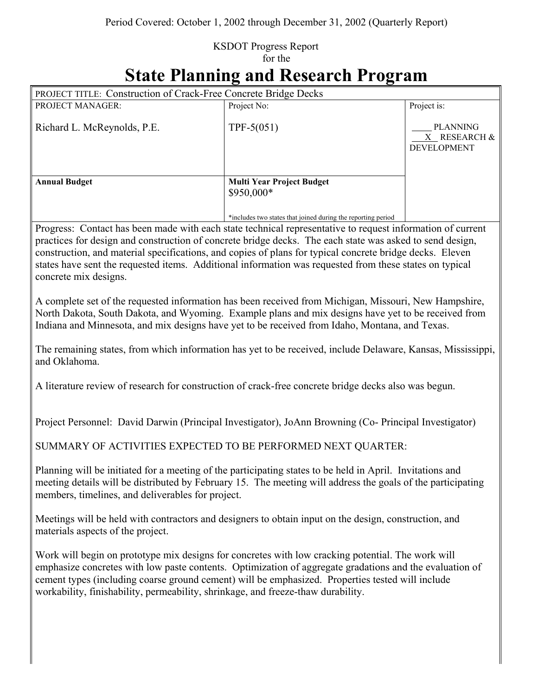## KSDOT Progress Report for the

## **State Planning and Research Program**

| PROJECT TITLE: Construction of Crack-Free Concrete Bridge Decks                                                                                                                                                                                                                                                                                                                                                                                                        |                                                              |                                                       |
|------------------------------------------------------------------------------------------------------------------------------------------------------------------------------------------------------------------------------------------------------------------------------------------------------------------------------------------------------------------------------------------------------------------------------------------------------------------------|--------------------------------------------------------------|-------------------------------------------------------|
| PROJECT MANAGER:                                                                                                                                                                                                                                                                                                                                                                                                                                                       | Project No:                                                  | Project is:                                           |
| Richard L. McReynolds, P.E.                                                                                                                                                                                                                                                                                                                                                                                                                                            | TPF- $5(051)$                                                | <b>PLANNING</b><br>X RESEARCH &<br><b>DEVELOPMENT</b> |
|                                                                                                                                                                                                                                                                                                                                                                                                                                                                        | <b>Multi Year Project Budget</b>                             |                                                       |
| <b>Annual Budget</b>                                                                                                                                                                                                                                                                                                                                                                                                                                                   | \$950,000*                                                   |                                                       |
|                                                                                                                                                                                                                                                                                                                                                                                                                                                                        | *includes two states that joined during the reporting period |                                                       |
| Progress: Contact has been made with each state technical representative to request information of current<br>practices for design and construction of concrete bridge decks. The each state was asked to send design,<br>construction, and material specifications, and copies of plans for typical concrete bridge decks. Eleven<br>states have sent the requested items. Additional information was requested from these states on typical<br>concrete mix designs. |                                                              |                                                       |
| A complete set of the requested information has been received from Michigan, Missouri, New Hampshire,<br>North Dakota, South Dakota, and Wyoming. Example plans and mix designs have yet to be received from<br>Indiana and Minnesota, and mix designs have yet to be received from Idaho, Montana, and Texas.                                                                                                                                                         |                                                              |                                                       |
| The remaining states, from which information has yet to be received, include Delaware, Kansas, Mississippi,<br>and Oklahoma.                                                                                                                                                                                                                                                                                                                                           |                                                              |                                                       |
| A literature review of research for construction of crack-free concrete bridge decks also was begun.                                                                                                                                                                                                                                                                                                                                                                   |                                                              |                                                       |
| Project Personnel: David Darwin (Principal Investigator), JoAnn Browning (Co- Principal Investigator)                                                                                                                                                                                                                                                                                                                                                                  |                                                              |                                                       |
| SUMMARY OF ACTIVITIES EXPECTED TO BE PERFORMED NEXT QUARTER:                                                                                                                                                                                                                                                                                                                                                                                                           |                                                              |                                                       |
| Planning will be initiated for a meeting of the participating states to be held in April. Invitations and<br>meeting details will be distributed by February 15. The meeting will address the goals of the participating<br>members, timelines, and deliverables for project.                                                                                                                                                                                          |                                                              |                                                       |
| Meetings will be held with contractors and designers to obtain input on the design, construction, and<br>materials aspects of the project.                                                                                                                                                                                                                                                                                                                             |                                                              |                                                       |
| Work will begin on prototype mix designs for concretes with low cracking potential. The work will<br>emphasize concretes with low paste contents. Optimization of aggregate gradations and the evaluation of<br>cement types (including coarse ground cement) will be emphasized. Properties tested will include<br>workability, finishability, permeability, shrinkage, and freeze-thaw durability.                                                                   |                                                              |                                                       |
|                                                                                                                                                                                                                                                                                                                                                                                                                                                                        |                                                              |                                                       |

 $\parallel$